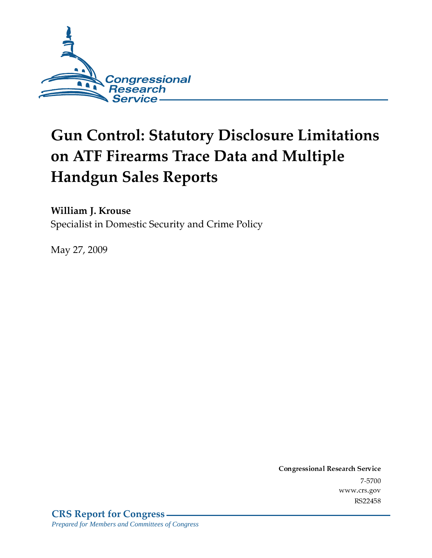

# **Gun Control: Statutory Disclosure Limitations** on ATF Firearms Trace Data and Multiple **Handgun Sales Reports**

William J. Krouse

Specialist in Domestic Security and Crime Policy

May 27, 2009

Conglessional Research Service - - - - - -<br>... - - - - www.cis.gov NJZZ4J0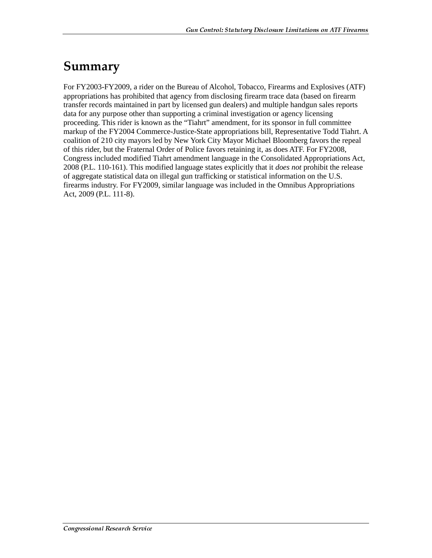## Summary

For FY2003-FY2009, a rider on the Bureau of Alcohol, Tobacco, Firearms and Explosives (ATF) appropriations has prohibited that agency from disclosing firearm trace data (based on firearm transfer records maintained in part by licensed gun dealers) and multiple handgun sales reports data for any purpose other than supporting a criminal investigation or agency licensing proceeding. This rider is known as the "Tiahrt" amendment, for its sponsor in full committee markup of the FY2004 Commerce-Justice-State appropriations bill, Representative Todd Tiahrt. A coalition of 210 city mayors led by New York City Mayor Michael Bloomberg favors the repeal of this rider, but the Fraternal Order of Police favors retaining it, as does ATF. For FY2008, Congress included modified Tiahrt amendment language in the Consolidated Appropriations Act, 2008 (P.L. 110-161). This modified language states explicitly that it *does not* prohibit the release of aggregate statistical data on illegal gun trafficking or statistical information on the U.S. firearms industry. For FY2009, similar language was included in the Omnibus Appropriations Act, 2009 (P.L. 111-8).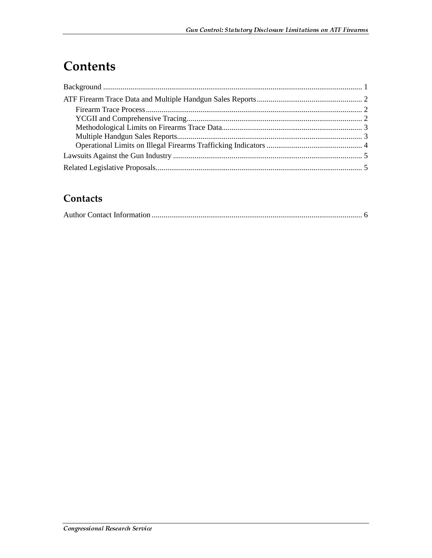### **Contents**

### Contacts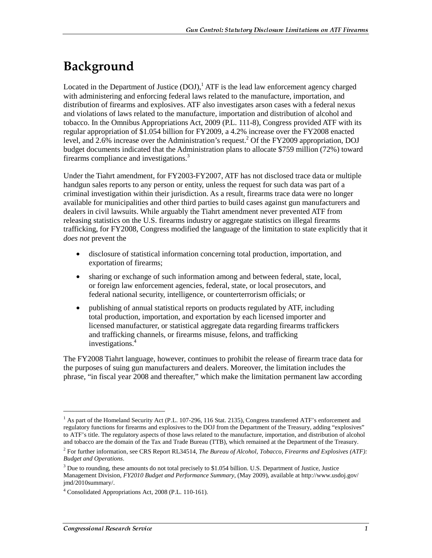# Background

Located in the Department of Justice  $(DOJ)$ ,  $^1$  ATF is the lead law enforcement agency charged with administering and enforcing federal laws related to the manufacture, importation, and distribution of firearms and explosives. ATF also investigates arson cases with a federal nexus and violations of laws related to the manufacture, importation and distribution of alcohol and tobacco. In the Omnibus Appropriations Act, 2009 (P.L. 111-8), Congress provided ATF with its regular appropriation of \$1.054 billion for FY2009, a 4.2% increase over the FY2008 enacted level, and 2.6% increase over the Administration's request.<sup>2</sup> Of the FY2009 appropriation, DOJ budget documents indicated that the Administration plans to allocate \$759 million (72%) toward firearms compliance and investigations.<sup>3</sup>

Under the Tiahrt amendment, for FY2003-FY2007, ATF has not disclosed trace data or multiple handgun sales reports to any person or entity, unless the request for such data was part of a criminal investigation within their jurisdiction. As a result, firearms trace data were no longer available for municipalities and other third parties to build cases against gun manufacturers and dealers in civil lawsuits. While arguably the Tiahrt amendment never prevented ATF from releasing statistics on the U.S. firearms industry or aggregate statistics on illegal firearms trafficking, for FY2008, Congress modified the language of the limitation to state explicitly that it *does not* prevent the

- disclosure of statistical information concerning total production, importation, and exportation of firearms;
- sharing or exchange of such information among and between federal, state, local, or foreign law enforcement agencies, federal, state, or local prosecutors, and federal national security, intelligence, or counterterrorism officials; or
- publishing of annual statistical reports on products regulated by ATF, including total production, importation, and exportation by each licensed importer and licensed manufacturer, or statistical aggregate data regarding firearms traffickers and trafficking channels, or firearms misuse, felons, and trafficking investigations.<sup>4</sup>

The FY2008 Tiahrt language, however, continues to prohibit the release of firearm trace data for the purposes of suing gun manufacturers and dealers. Moreover, the limitation includes the phrase, "in fiscal year 2008 and thereafter," which make the limitation permanent law according

<sup>&</sup>lt;sup>1</sup> As part of the Homeland Security Act (P.L. 107-296, 116 Stat. 2135), Congress transferred ATF's enforcement and regulatory functions for firearms and explosives to the DOJ from the Department of the Treasury, adding "explosives" to ATF's title. The regulatory aspects of those laws related to the manufacture, importation, and distribution of alcohol and tobacco are the domain of the Tax and Trade Bureau (TTB), which remained at the Department of the Treasury.

<sup>2</sup> For further information, see CRS Report RL34514, *The Bureau of Alcohol, Tobacco, Firearms and Explosives (ATF): Budget and Operations*.

<sup>&</sup>lt;sup>3</sup> Due to rounding, these amounts do not total precisely to \$1.054 billion. U.S. Department of Justice, Justice Management Division, *FY2010 Budget and Performance Summary*, (May 2009), available at http://www.usdoj.gov/ jmd/2010summary/.

<sup>4</sup> Consolidated Appropriations Act, 2008 (P.L. 110-161).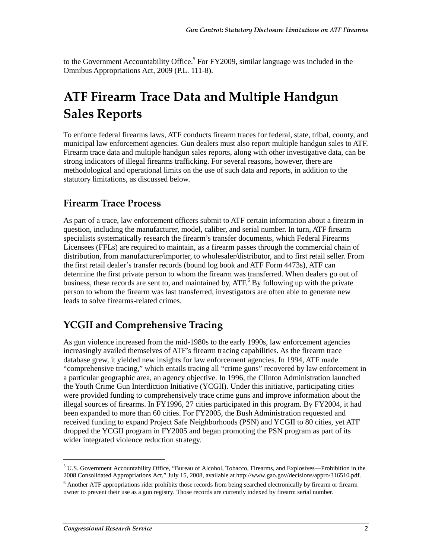to the Government Accountability Office.<sup>5</sup> For FY2009, similar language was included in the Omnibus Appropriations Act, 2009 (P.L. 111-8).

# **ATF Firearm Trace Data and Multiple Handgun Sales Reports**

To enforce federal firearms laws, ATF conducts firearm traces for federal, state, tribal, county, and municipal law enforcement agencies. Gun dealers must also report multiple handgun sales to ATF. Firearm trace data and multiple handgun sales reports, along with other investigative data, can be strong indicators of illegal firearms trafficking. For several reasons, however, there are methodological and operational limits on the use of such data and reports, in addition to the statutory limitations, as discussed below.

#### **Firearm Trace Process**

As part of a trace, law enforcement officers submit to ATF certain information about a firearm in question, including the manufacturer, model, caliber, and serial number. In turn, ATF firearm specialists systematically research the firearm's transfer documents, which Federal Firearms Licensees (FFLs) are required to maintain, as a firearm passes through the commercial chain of distribution, from manufacturer/importer, to wholesaler/distributor, and to first retail seller. From the first retail dealer's transfer records (bound log book and ATF Form 4473s), ATF can determine the first private person to whom the firearm was transferred. When dealers go out of business, these records are sent to, and maintained by, ATF.<sup>6</sup> By following up with the private person to whom the firearm was last transferred, investigators are often able to generate new leads to solve firearms-related crimes.

### **YCGII and Comprehensive Tracing**

As gun violence increased from the mid-1980s to the early 1990s, law enforcement agencies increasingly availed themselves of ATF's firearm tracing capabilities. As the firearm trace database grew, it yielded new insights for law enforcement agencies. In 1994, ATF made "comprehensive tracing," which entails tracing all "crime guns" recovered by law enforcement in a particular geographic area, an agency objective. In 1996, the Clinton Administration launched the Youth Crime Gun Interdiction Initiative (YCGII). Under this initiative, participating cities were provided funding to comprehensively trace crime guns and improve information about the illegal sources of firearms. In FY1996, 27 cities participated in this program. By FY2004, it had been expanded to more than 60 cities. For FY2005, the Bush Administration requested and received funding to expand Project Safe Neighborhoods (PSN) and YCGII to 80 cities, yet ATF dropped the YCGII program in FY2005 and began promoting the PSN program as part of its wider integrated violence reduction strategy.

 $5$  U.S. Government Accountability Office, "Bureau of Alcohol, Tobacco, Firearms, and Explosives—Prohibition in the 2008 Consolidated Appropriations Act," July 15, 2008, available at http://www.gao.gov/decisions/appro/316510.pdf.

<sup>&</sup>lt;sup>6</sup> Another ATF appropriations rider prohibits those records from being searched electronically by firearm or firearm owner to prevent their use as a gun registry. Those records are currently indexed by firearm serial number.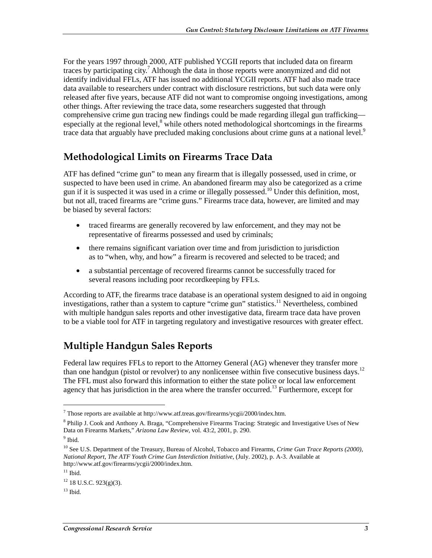For the years 1997 through 2000, ATF published YCGII reports that included data on firearm traces by participating city.<sup>7</sup> Although the data in those reports were anonymized and did not identify individual FFLs, ATF has issued no additional YCGII reports. ATF had also made trace data available to researchers under contract with disclosure restrictions, but such data were only released after five years, because ATF did not want to compromise ongoing investigations, among other things. After reviewing the trace data, some researchers suggested that through comprehensive crime gun tracing new findings could be made regarding illegal gun trafficking especially at the regional level, $^8$  while others noted methodological shortcomings in the firearms trace data that arguably have precluded making conclusions about crime guns at a national level.<sup>9</sup>

#### Methodological Limits on Firearms Trace Data

ATF has defined "crime gun" to mean any firearm that is illegally possessed, used in crime, or suspected to have been used in crime. An abandoned firearm may also be categorized as a crime gun if it is suspected it was used in a crime or illegally possessed.10 Under this definition, most, but not all, traced firearms are "crime guns." Firearms trace data, however, are limited and may be biased by several factors:

- traced firearms are generally recovered by law enforcement, and they may not be representative of firearms possessed and used by criminals;
- there remains significant variation over time and from jurisdiction to jurisdiction as to "when, why, and how" a firearm is recovered and selected to be traced; and
- a substantial percentage of recovered firearms cannot be successfully traced for several reasons including poor recordkeeping by FFLs.

According to ATF, the firearms trace database is an operational system designed to aid in ongoing investigations, rather than a system to capture "crime gun" statistics.<sup>11</sup> Nevertheless, combined with multiple handgun sales reports and other investigative data, firearm trace data have proven to be a viable tool for ATF in targeting regulatory and investigative resources with greater effect.

### **Multiple Handgun Sales Reports**

Federal law requires FFLs to report to the Attorney General (AG) whenever they transfer more than one handgun (pistol or revolver) to any nonlicensee within five consecutive business days.<sup>12</sup> The FFL must also forward this information to either the state police or local law enforcement agency that has jurisdiction in the area where the transfer occurred.<sup>13</sup> Furthermore, except for

<sup>&</sup>lt;sup>7</sup> Those reports are available at http://www.atf.treas.gov/firearms/ycgii/2000/index.htm.

<sup>&</sup>lt;sup>8</sup> Philip J. Cook and Anthony A. Braga, "Comprehensive Firearms Tracing: Strategic and Investigative Uses of New Data on Firearms Markets," *Arizona Law Review*, vol. 43:2, 2001, p. 290.

<sup>&</sup>lt;sup>9</sup> Ibid.

<sup>&</sup>lt;sup>10</sup> See U.S. Department of the Treasury, Bureau of Alcohol, Tobacco and Firearms, *Crime Gun Trace Reports (2000)*, *National Report, The ATF Youth Crime Gun Interdiction Initiative*, (July. 2002), p. A-3. Available at http://www.atf.gov/firearms/ycgii/2000/index.htm.

 $11$  Ibid.

 $12$  18 U.S.C. 923(g)(3).

 $13$  Ibid.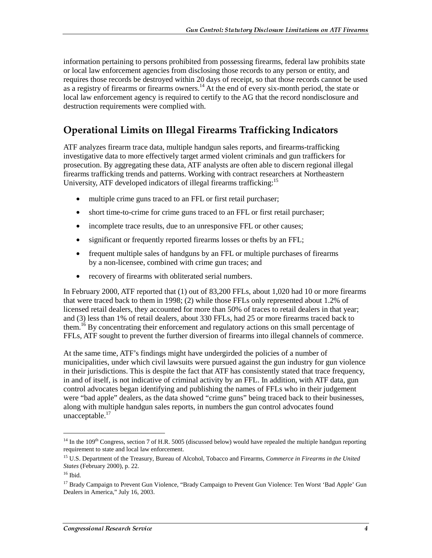information pertaining to persons prohibited from possessing firearms, federal law prohibits state or local law enforcement agencies from disclosing those records to any person or entity, and requires those records be destroyed within 20 days of receipt, so that those records cannot be used as a registry of firearms or firearms owners.<sup>14</sup> At the end of every six-month period, the state or local law enforcement agency is required to certify to the AG that the record nondisclosure and destruction requirements were complied with.

#### Operational Limits on Illegal Firearms Trafficking Indicators

ATF analyzes firearm trace data, multiple handgun sales reports, and firearms-trafficking investigative data to more effectively target armed violent criminals and gun traffickers for prosecution. By aggregating these data, ATF analysts are often able to discern regional illegal firearms trafficking trends and patterns. Working with contract researchers at Northeastern University, ATF developed indicators of illegal firearms trafficking:<sup>15</sup>

- multiple crime guns traced to an FFL or first retail purchaser;
- short time-to-crime for crime guns traced to an FFL or first retail purchaser;
- incomplete trace results, due to an unresponsive FFL or other causes;
- significant or frequently reported firearms losses or thefts by an FFL;
- frequent multiple sales of handguns by an FFL or multiple purchases of firearms by a non-licensee, combined with crime gun traces; and
- recovery of firearms with obliterated serial numbers.

In February 2000, ATF reported that (1) out of 83,200 FFLs, about 1,020 had 10 or more firearms that were traced back to them in 1998; (2) while those FFLs only represented about 1.2% of licensed retail dealers, they accounted for more than 50% of traces to retail dealers in that year; and (3) less than 1% of retail dealers, about 330 FFLs, had 25 or more firearms traced back to them.<sup>16</sup> By concentrating their enforcement and regulatory actions on this small percentage of FFLs, ATF sought to prevent the further diversion of firearms into illegal channels of commerce.

At the same time, ATF's findings might have undergirded the policies of a number of municipalities, under which civil lawsuits were pursued against the gun industry for gun violence in their jurisdictions. This is despite the fact that ATF has consistently stated that trace frequency, in and of itself, is not indicative of criminal activity by an FFL. In addition, with ATF data, gun control advocates began identifying and publishing the names of FFLs who in their judgement were "bad apple" dealers, as the data showed "crime guns" being traced back to their businesses, along with multiple handgun sales reports, in numbers the gun control advocates found unacceptable.<sup>17</sup>

 $14$  In the 109<sup>th</sup> Congress, section 7 of H.R. 5005 (discussed below) would have repealed the multiple handgun reporting requirement to state and local law enforcement.

<sup>15</sup> U.S. Department of the Treasury, Bureau of Alcohol, Tobacco and Firearms, *Commerce in Firearms in the United States* (February 2000), p. 22.

 $16$  Ibid.

<sup>&</sup>lt;sup>17</sup> Brady Campaign to Prevent Gun Violence, "Brady Campaign to Prevent Gun Violence: Ten Worst 'Bad Apple' Gun Dealers in America," July 16, 2003.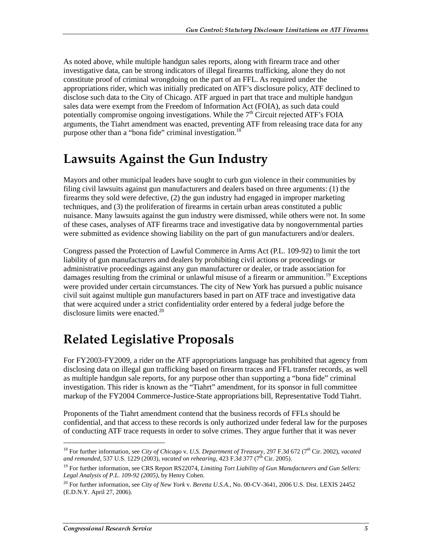As noted above, while multiple handgun sales reports, along with firearm trace and other investigative data, can be strong indicators of illegal firearms trafficking, alone they do not constitute proof of criminal wrongdoing on the part of an FFL. As required under the appropriations rider, which was initially predicated on ATF's disclosure policy, ATF declined to disclose such data to the City of Chicago. ATF argued in part that trace and multiple handgun sales data were exempt from the Freedom of Information Act (FOIA), as such data could potentially compromise ongoing investigations. While the  $7<sup>th</sup>$  Circuit rejected ATF's FOIA arguments, the Tiahrt amendment was enacted, preventing ATF from releasing trace data for any purpose other than a "bona fide" criminal investigation.<sup>18</sup>

### Lawsuits Against the Gun Industry

Mayors and other municipal leaders have sought to curb gun violence in their communities by filing civil lawsuits against gun manufacturers and dealers based on three arguments: (1) the firearms they sold were defective, (2) the gun industry had engaged in improper marketing techniques, and (3) the proliferation of firearms in certain urban areas constituted a public nuisance. Many lawsuits against the gun industry were dismissed, while others were not. In some of these cases, analyses of ATF firearms trace and investigative data by nongovernmental parties were submitted as evidence showing liability on the part of gun manufacturers and/or dealers.

Congress passed the Protection of Lawful Commerce in Arms Act (P.L. 109-92) to limit the tort liability of gun manufacturers and dealers by prohibiting civil actions or proceedings or administrative proceedings against any gun manufacturer or dealer, or trade association for damages resulting from the criminal or unlawful misuse of a firearm or ammunition.<sup>19</sup> Exceptions were provided under certain circumstances. The city of New York has pursued a public nuisance civil suit against multiple gun manufacturers based in part on ATF trace and investigative data that were acquired under a strict confidentiality order entered by a federal judge before the disclosure limits were enacted. $20$ 

# Related Legislative Proposals

For FY2003-FY2009, a rider on the ATF appropriations language has prohibited that agency from disclosing data on illegal gun trafficking based on firearm traces and FFL transfer records, as well as multiple handgun sale reports, for any purpose other than supporting a "bona fide" criminal investigation. This rider is known as the "Tiahrt" amendment, for its sponsor in full committee markup of the FY2004 Commerce-Justice-State appropriations bill, Representative Todd Tiahrt.

Proponents of the Tiahrt amendment contend that the business records of FFLs should be confidential, and that access to these records is only authorized under federal law for the purposes of conducting ATF trace requests in order to solve crimes. They argue further that it was never

 $\overline{a}$ 

<sup>&</sup>lt;sup>18</sup> For further information, see *City of Chicago v. U.S. Department of Treasury*, 297 F.3d 672 (7<sup>th</sup> Cir. 2002), *vacated* and remanded, 537 U.S. 1229 (2003), *vacated on rehearing*, 423 F.3d 377 (7<sup>th</sup> Cir. 2005).

<sup>&</sup>lt;sup>19</sup> For further information, see CRS Report RS22074, *Limiting Tort Liability of Gun Manufacturers and Gun Sellers: Legal Analysis of P.L. 109-92 (2005)*, by Henry Cohen.

<sup>20</sup> For further information, see *City of New York* v. *Beretta U.S.A.*, No. 00-CV-3641, 2006 U.S. Dist. LEXIS 24452 (E.D.N.Y. April 27, 2006).